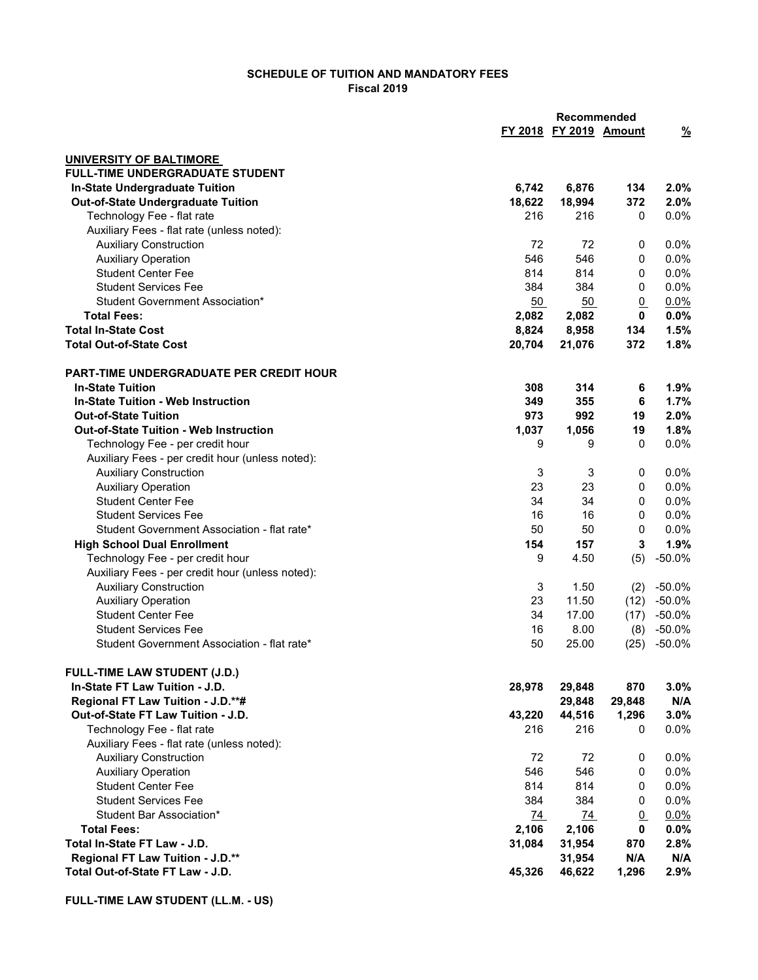## SCHEDULE OF TUITION AND MANDATORY FEES Fiscal 2019

|                                                  |        | <b>Recommended</b>     |                 |                |
|--------------------------------------------------|--------|------------------------|-----------------|----------------|
|                                                  |        | FY 2018 FY 2019 Amount |                 | <u>%</u>       |
| <b>UNIVERSITY OF BALTIMORE</b>                   |        |                        |                 |                |
| <b>FULL-TIME UNDERGRADUATE STUDENT</b>           |        |                        |                 |                |
| In-State Undergraduate Tuition                   | 6,742  | 6,876                  | 134             | 2.0%           |
| <b>Out-of-State Undergraduate Tuition</b>        | 18,622 | 18,994                 | 372             | 2.0%           |
| Technology Fee - flat rate                       | 216    | 216                    | 0               | 0.0%           |
| Auxiliary Fees - flat rate (unless noted):       |        |                        |                 |                |
| <b>Auxiliary Construction</b>                    | 72     | 72                     | 0               | $0.0\%$        |
| <b>Auxiliary Operation</b>                       | 546    | 546                    | 0               | 0.0%           |
| <b>Student Center Fee</b>                        | 814    | 814                    | $\mathbf 0$     | 0.0%           |
| <b>Student Services Fee</b>                      | 384    | 384                    | $\mathbf 0$     | 0.0%           |
| Student Government Association*                  | 50     | 50                     | $\underline{0}$ | 0.0%           |
| <b>Total Fees:</b>                               | 2,082  | 2,082                  | $\mathbf 0$     | 0.0%           |
| <b>Total In-State Cost</b>                       | 8,824  | 8,958                  | 134             | 1.5%           |
| <b>Total Out-of-State Cost</b>                   | 20,704 | 21,076                 | 372             | 1.8%           |
| <b>PART-TIME UNDERGRADUATE PER CREDIT HOUR</b>   |        |                        |                 |                |
| <b>In-State Tuition</b>                          | 308    | 314                    | 6               | 1.9%           |
| <b>In-State Tuition - Web Instruction</b>        | 349    | 355                    | 6               | 1.7%           |
| <b>Out-of-State Tuition</b>                      | 973    | 992                    | 19              | 2.0%           |
| <b>Out-of-State Tuition - Web Instruction</b>    | 1,037  | 1,056                  | 19              | 1.8%           |
| Technology Fee - per credit hour                 | 9      | 9                      | 0               | 0.0%           |
| Auxiliary Fees - per credit hour (unless noted): |        |                        |                 |                |
| <b>Auxiliary Construction</b>                    | 3      | 3                      | 0               | 0.0%           |
| <b>Auxiliary Operation</b>                       | 23     | 23                     | 0               | 0.0%           |
| <b>Student Center Fee</b>                        | 34     | 34                     | 0               | 0.0%           |
| <b>Student Services Fee</b>                      | 16     | 16                     | 0               | 0.0%           |
| Student Government Association - flat rate*      | 50     | 50                     | 0               | 0.0%           |
| <b>High School Dual Enrollment</b>               | 154    | 157                    | 3               | 1.9%           |
| Technology Fee - per credit hour                 | 9      | 4.50                   | (5)             | $-50.0%$       |
| Auxiliary Fees - per credit hour (unless noted): |        |                        |                 |                |
| <b>Auxiliary Construction</b>                    | 3      | 1.50                   | (2)             | $-50.0%$       |
| <b>Auxiliary Operation</b>                       | 23     | 11.50                  |                 | $(12) -50.0\%$ |
| <b>Student Center Fee</b>                        | 34     | 17.00                  |                 | $(17) -50.0\%$ |
| <b>Student Services Fee</b>                      | 16     | 8.00                   |                 | $(8) -50.0\%$  |
| Student Government Association - flat rate*      | 50     | 25.00                  | (25)            | $-50.0%$       |
| FULL-TIME LAW STUDENT (J.D.)                     |        |                        |                 |                |
| In-State FT Law Tuition - J.D.                   | 28,978 | 29,848                 | 870             | 3.0%           |
| Regional FT Law Tuition - J.D.**#                |        | 29,848                 | 29,848          | N/A            |
| Out-of-State FT Law Tuition - J.D.               | 43,220 | 44,516                 | 1,296           | 3.0%           |
| Technology Fee - flat rate                       | 216    | 216                    | 0               | 0.0%           |
| Auxiliary Fees - flat rate (unless noted):       |        |                        |                 |                |
| <b>Auxiliary Construction</b>                    | 72     | 72                     | 0               | 0.0%           |
| <b>Auxiliary Operation</b>                       | 546    | 546                    | 0               | 0.0%           |
| <b>Student Center Fee</b>                        | 814    | 814                    | 0               | 0.0%           |
| <b>Student Services Fee</b>                      | 384    | 384                    | 0               | 0.0%           |
| Student Bar Association*                         | 74     | 74                     | $\overline{0}$  | 0.0%           |
| <b>Total Fees:</b>                               | 2,106  | 2,106                  | $\mathbf 0$     | 0.0%           |
| Total In-State FT Law - J.D.                     | 31,084 | 31,954                 | 870             | 2.8%           |
| Regional FT Law Tuition - J.D.**                 |        | 31,954                 | N/A             | N/A            |
| Total Out-of-State FT Law - J.D.                 | 45,326 | 46,622                 | 1,296           | 2.9%           |
|                                                  |        |                        |                 |                |

FULL-TIME LAW STUDENT (LL.M. - US)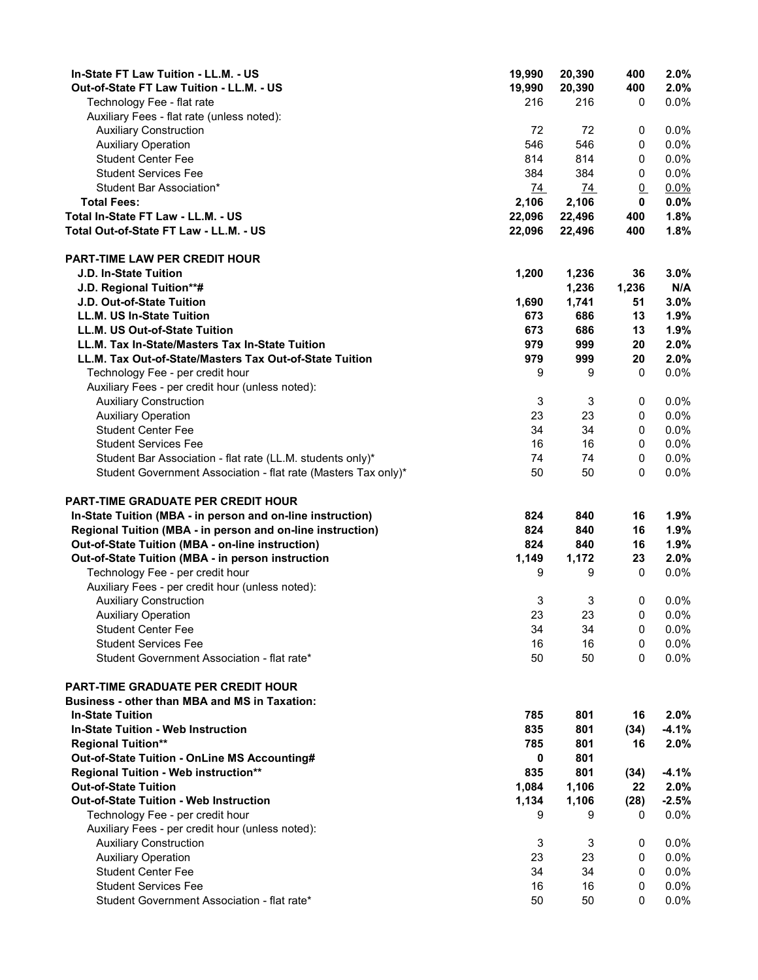| In-State FT Law Tuition - LL.M. - US                                            | 19,990           | 20,390     | 400             | 2.0%            |
|---------------------------------------------------------------------------------|------------------|------------|-----------------|-----------------|
| Out-of-State FT Law Tuition - LL.M. - US                                        | 19,990           | 20,390     | 400             | 2.0%            |
| Technology Fee - flat rate                                                      | 216              | 216        | 0               | 0.0%            |
| Auxiliary Fees - flat rate (unless noted):                                      |                  |            |                 |                 |
| <b>Auxiliary Construction</b><br><b>Auxiliary Operation</b>                     | 72<br>546        | 72<br>546  | 0<br>0          | 0.0%<br>$0.0\%$ |
| <b>Student Center Fee</b>                                                       | 814              | 814        | 0               | 0.0%            |
| <b>Student Services Fee</b>                                                     | 384              | 384        | 0               | 0.0%            |
| Student Bar Association*                                                        | $\underline{74}$ | 74         | $\underline{0}$ | 0.0%            |
| <b>Total Fees:</b>                                                              | 2,106            | 2,106      | $\mathbf 0$     | 0.0%            |
| Total In-State FT Law - LL.M. - US                                              | 22,096           | 22,496     | 400             | 1.8%            |
| Total Out-of-State FT Law - LL.M. - US                                          | 22,096           | 22,496     | 400             | 1.8%            |
|                                                                                 |                  |            |                 |                 |
| <b>PART-TIME LAW PER CREDIT HOUR</b>                                            |                  |            |                 |                 |
| <b>J.D. In-State Tuition</b>                                                    | 1,200            | 1,236      | 36              | 3.0%            |
| J.D. Regional Tuition**#                                                        |                  | 1,236      | 1,236           | N/A             |
| J.D. Out-of-State Tuition                                                       | 1,690            | 1,741      | 51              | 3.0%            |
| LL.M. US In-State Tuition                                                       | 673              | 686        | 13              | 1.9%            |
| LL.M. US Out-of-State Tuition                                                   | 673              | 686        | 13              | 1.9%            |
| LL.M. Tax In-State/Masters Tax In-State Tuition                                 | 979              | 999        | 20              | 2.0%            |
| LL.M. Tax Out-of-State/Masters Tax Out-of-State Tuition                         | 979              | 999        | 20              | 2.0%            |
| Technology Fee - per credit hour                                                | 9                | 9          | $\mathbf 0$     | 0.0%            |
| Auxiliary Fees - per credit hour (unless noted):                                |                  |            |                 |                 |
| <b>Auxiliary Construction</b>                                                   | 3                | 3          | 0               | 0.0%            |
| <b>Auxiliary Operation</b>                                                      | 23               | 23         | 0               | 0.0%            |
| <b>Student Center Fee</b>                                                       | 34               | 34         | 0               | 0.0%            |
| <b>Student Services Fee</b>                                                     | 16               | 16         | 0               | 0.0%            |
| Student Bar Association - flat rate (LL.M. students only)*                      | 74               | 74         | 0               | 0.0%            |
| Student Government Association - flat rate (Masters Tax only)*                  | 50               | 50         | 0               | 0.0%            |
| PART-TIME GRADUATE PER CREDIT HOUR                                              |                  |            |                 |                 |
| In-State Tuition (MBA - in person and on-line instruction)                      | 824              | 840        | 16              | 1.9%            |
| Regional Tuition (MBA - in person and on-line instruction)                      | 824              | 840        | 16              | 1.9%            |
| Out-of-State Tuition (MBA - on-line instruction)                                | 824              | 840        | 16              | 1.9%            |
| Out-of-State Tuition (MBA - in person instruction                               | 1,149            | 1,172      | 23              | 2.0%            |
| Technology Fee - per credit hour                                                | 9                | 9          | 0               | 0.0%            |
| Auxiliary Fees - per credit hour (unless noted):                                |                  |            |                 |                 |
| <b>Auxiliary Construction</b>                                                   | 3                | 3          | 0               | 0.0%            |
| <b>Auxiliary Operation</b>                                                      | 23               | 23         | 0               | 0.0%            |
| <b>Student Center Fee</b>                                                       | 34               | 34         | 0               | 0.0%            |
| <b>Student Services Fee</b>                                                     | 16               | 16         | 0               | $0.0\%$         |
| Student Government Association - flat rate*                                     | 50               | 50         | 0               | 0.0%            |
|                                                                                 |                  |            |                 |                 |
| PART-TIME GRADUATE PER CREDIT HOUR                                              |                  |            |                 |                 |
| <b>Business - other than MBA and MS in Taxation:</b><br><b>In-State Tuition</b> |                  |            |                 |                 |
| <b>In-State Tuition - Web Instruction</b>                                       | 785<br>835       | 801<br>801 | 16              | 2.0%<br>$-4.1%$ |
|                                                                                 | 785              | 801        | (34)<br>16      | 2.0%            |
| <b>Regional Tuition**</b><br>Out-of-State Tuition - OnLine MS Accounting#       | 0                | 801        |                 |                 |
| Regional Tuition - Web instruction**                                            | 835              | 801        | (34)            | $-4.1%$         |
| <b>Out-of-State Tuition</b>                                                     | 1,084            | 1,106      | 22              | 2.0%            |
| <b>Out-of-State Tuition - Web Instruction</b>                                   | 1,134            | 1,106      | (28)            | $-2.5%$         |
| Technology Fee - per credit hour                                                | 9                | 9          | 0               | 0.0%            |
| Auxiliary Fees - per credit hour (unless noted):                                |                  |            |                 |                 |
| <b>Auxiliary Construction</b>                                                   | 3                | 3          | 0               | 0.0%            |
| <b>Auxiliary Operation</b>                                                      | 23               | 23         | 0               | 0.0%            |
| <b>Student Center Fee</b>                                                       | 34               | 34         | $\mathbf 0$     | 0.0%            |
| <b>Student Services Fee</b>                                                     | 16               | 16         | 0               | 0.0%            |
| Student Government Association - flat rate*                                     | 50               | 50         | 0               | 0.0%            |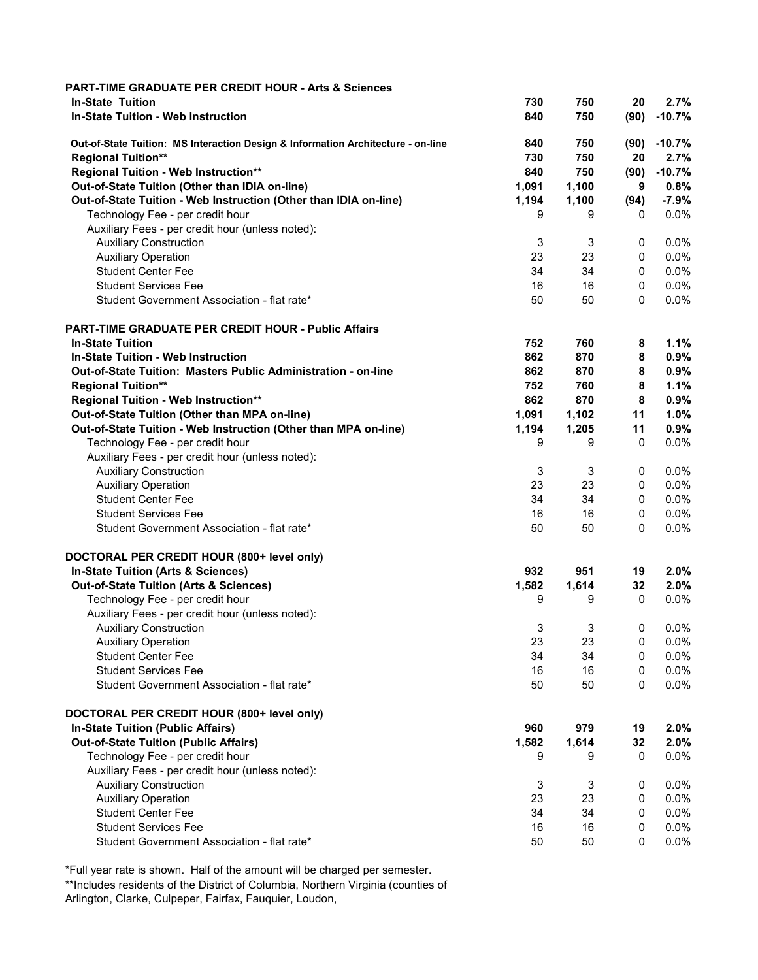| <b>PART-TIME GRADUATE PER CREDIT HOUR - Arts &amp; Sciences</b>                  |       |       |              |          |
|----------------------------------------------------------------------------------|-------|-------|--------------|----------|
| <b>In-State Tuition</b>                                                          | 730   | 750   | 20           | 2.7%     |
| <b>In-State Tuition - Web Instruction</b>                                        | 840   | 750   | (90)         | $-10.7%$ |
| Out-of-State Tuition: MS Interaction Design & Information Architecture - on-line | 840   | 750   | (90)         | $-10.7%$ |
| <b>Regional Tuition**</b>                                                        | 730   | 750   | 20           | 2.7%     |
| Regional Tuition - Web Instruction**                                             | 840   | 750   | (90)         | $-10.7%$ |
| Out-of-State Tuition (Other than IDIA on-line)                                   | 1,091 | 1,100 | 9            | 0.8%     |
| Out-of-State Tuition - Web Instruction (Other than IDIA on-line)                 | 1,194 | 1,100 | (94)         | $-7.9%$  |
| Technology Fee - per credit hour                                                 | 9     | 9     | 0            | 0.0%     |
| Auxiliary Fees - per credit hour (unless noted):                                 |       |       |              |          |
| <b>Auxiliary Construction</b>                                                    | 3     | 3     | 0            | 0.0%     |
| <b>Auxiliary Operation</b>                                                       | 23    | 23    | 0            | $0.0\%$  |
| <b>Student Center Fee</b>                                                        | 34    | 34    | $\mathbf 0$  | 0.0%     |
| <b>Student Services Fee</b>                                                      | 16    | 16    | $\mathbf 0$  | 0.0%     |
| Student Government Association - flat rate*                                      | 50    | 50    | $\mathbf{0}$ | $0.0\%$  |
| <b>PART-TIME GRADUATE PER CREDIT HOUR - Public Affairs</b>                       |       |       |              |          |
| <b>In-State Tuition</b>                                                          | 752   | 760   | 8            | 1.1%     |
| <b>In-State Tuition - Web Instruction</b>                                        | 862   | 870   | 8            | 0.9%     |
| Out-of-State Tuition: Masters Public Administration - on-line                    | 862   | 870   | 8            | 0.9%     |
| <b>Regional Tuition**</b>                                                        | 752   | 760   | 8            | 1.1%     |
| Regional Tuition - Web Instruction**                                             | 862   | 870   | 8            | 0.9%     |
| Out-of-State Tuition (Other than MPA on-line)                                    | 1,091 | 1,102 | 11           | 1.0%     |
| Out-of-State Tuition - Web Instruction (Other than MPA on-line)                  | 1,194 | 1,205 | 11           | 0.9%     |
| Technology Fee - per credit hour                                                 | 9     | 9     | $\mathbf 0$  | 0.0%     |
| Auxiliary Fees - per credit hour (unless noted):                                 |       |       |              |          |
| <b>Auxiliary Construction</b>                                                    | 3     | 3     | 0            | $0.0\%$  |
| <b>Auxiliary Operation</b>                                                       | 23    | 23    | 0            | $0.0\%$  |
| <b>Student Center Fee</b>                                                        | 34    | 34    | 0            | 0.0%     |
| <b>Student Services Fee</b>                                                      | 16    | 16    | 0            | 0.0%     |
| Student Government Association - flat rate*                                      | 50    | 50    | 0            | 0.0%     |
| DOCTORAL PER CREDIT HOUR (800+ level only)                                       |       |       |              |          |
| In-State Tuition (Arts & Sciences)                                               | 932   | 951   | 19           | 2.0%     |
| <b>Out-of-State Tuition (Arts &amp; Sciences)</b>                                | 1,582 | 1,614 | 32           | 2.0%     |
| Technology Fee - per credit hour                                                 | 9     | 9     | 0            | $0.0\%$  |
| Auxiliary Fees - per credit hour (unless noted):                                 |       |       |              |          |
| <b>Auxiliary Construction</b>                                                    | 3     | 3     | $\mathbf 0$  | 0.0%     |
| <b>Auxiliary Operation</b>                                                       | 23    | 23    | 0            | 0.0%     |
| <b>Student Center Fee</b>                                                        | 34    | 34    | 0            | 0.0%     |
| <b>Student Services Fee</b>                                                      | 16    | 16    | 0            | 0.0%     |
| Student Government Association - flat rate*                                      | 50    | 50    | 0            | 0.0%     |
| DOCTORAL PER CREDIT HOUR (800+ level only)                                       |       |       |              |          |
| <b>In-State Tuition (Public Affairs)</b>                                         | 960   | 979   | 19           | 2.0%     |
| <b>Out-of-State Tuition (Public Affairs)</b>                                     | 1,582 | 1,614 | 32           | 2.0%     |
| Technology Fee - per credit hour                                                 | 9     | 9     | $\mathbf 0$  | 0.0%     |
| Auxiliary Fees - per credit hour (unless noted):                                 |       |       |              |          |
| <b>Auxiliary Construction</b>                                                    | 3     | 3     | 0            | 0.0%     |
| <b>Auxiliary Operation</b>                                                       | 23    | 23    | 0            | 0.0%     |
| <b>Student Center Fee</b>                                                        | 34    | 34    | 0            | $0.0\%$  |
| <b>Student Services Fee</b>                                                      | 16    | 16    | 0            | 0.0%     |
| Student Government Association - flat rate*                                      | 50    | 50    | 0            | 0.0%     |

\*Full year rate is shown. Half of the amount will be charged per semester.

\*\*Includes residents of the District of Columbia, Northern Virginia (counties of Arlington, Clarke, Culpeper, Fairfax, Fauquier, Loudon,